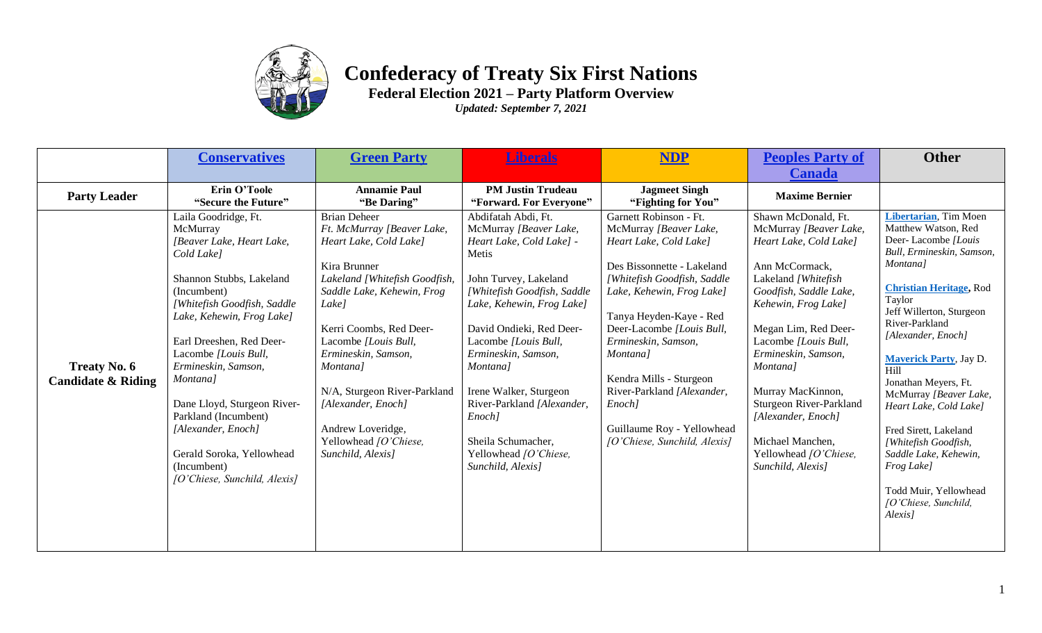

## **Confederacy of Treaty Six First Nations**

**Federal Election 2021 – Party Platform Overview**

*Updated: September 7, 2021*

|                                                      | <b>Conservatives</b>                                                                                                                                                                                                                                                                                                                                                                                                               | <b>Green Party</b>                                                                                                                                                                                                                                                                                                                                                                 | <i>iberals</i>                                                                                                                                                                                                                                                                                                                                                                                       | <b>NDP</b>                                                                                                                                                                                                                                                                                                                                                                                       | <b>Peoples Party of</b>                                                                                                                                                                                                                                                                                                                                                                       | <b>Other</b>                                                                                                                                                                                                                                                                                                                                                                                                                                                                                            |
|------------------------------------------------------|------------------------------------------------------------------------------------------------------------------------------------------------------------------------------------------------------------------------------------------------------------------------------------------------------------------------------------------------------------------------------------------------------------------------------------|------------------------------------------------------------------------------------------------------------------------------------------------------------------------------------------------------------------------------------------------------------------------------------------------------------------------------------------------------------------------------------|------------------------------------------------------------------------------------------------------------------------------------------------------------------------------------------------------------------------------------------------------------------------------------------------------------------------------------------------------------------------------------------------------|--------------------------------------------------------------------------------------------------------------------------------------------------------------------------------------------------------------------------------------------------------------------------------------------------------------------------------------------------------------------------------------------------|-----------------------------------------------------------------------------------------------------------------------------------------------------------------------------------------------------------------------------------------------------------------------------------------------------------------------------------------------------------------------------------------------|---------------------------------------------------------------------------------------------------------------------------------------------------------------------------------------------------------------------------------------------------------------------------------------------------------------------------------------------------------------------------------------------------------------------------------------------------------------------------------------------------------|
|                                                      |                                                                                                                                                                                                                                                                                                                                                                                                                                    |                                                                                                                                                                                                                                                                                                                                                                                    |                                                                                                                                                                                                                                                                                                                                                                                                      |                                                                                                                                                                                                                                                                                                                                                                                                  | <b>Canada</b>                                                                                                                                                                                                                                                                                                                                                                                 |                                                                                                                                                                                                                                                                                                                                                                                                                                                                                                         |
| <b>Party Leader</b>                                  | Erin O'Toole<br>"Secure the Future"                                                                                                                                                                                                                                                                                                                                                                                                | <b>Annamie Paul</b><br>"Be Daring"                                                                                                                                                                                                                                                                                                                                                 | <b>PM Justin Trudeau</b><br>"Forward. For Everyone"                                                                                                                                                                                                                                                                                                                                                  | <b>Jagmeet Singh</b><br>"Fighting for You"                                                                                                                                                                                                                                                                                                                                                       | <b>Maxime Bernier</b>                                                                                                                                                                                                                                                                                                                                                                         |                                                                                                                                                                                                                                                                                                                                                                                                                                                                                                         |
| <b>Treaty No. 6</b><br><b>Candidate &amp; Riding</b> | Laila Goodridge, Ft.<br>McMurray<br>[Beaver Lake, Heart Lake,<br>Cold Lake]<br>Shannon Stubbs, Lakeland<br>(Incumbent)<br>[Whitefish Goodfish, Saddle<br>Lake, Kehewin, Frog Lake]<br>Earl Dreeshen, Red Deer-<br>Lacombe [Louis Bull,<br>Ermineskin, Samson,<br>Montana]<br>Dane Lloyd, Sturgeon River-<br>Parkland (Incumbent)<br>[Alexander, Enoch]<br>Gerald Soroka, Yellowhead<br>(Incumbent)<br>[O'Chiese, Sunchild, Alexis] | <b>Brian Deheer</b><br>Ft. McMurray [Beaver Lake,<br>Heart Lake, Cold Lake]<br>Kira Brunner<br>Lakeland [Whitefish Goodfish,<br>Saddle Lake, Kehewin, Frog<br>Lake]<br>Kerri Coombs, Red Deer-<br>Lacombe [Louis Bull,<br>Ermineskin, Samson,<br>Montana]<br>N/A, Sturgeon River-Parkland<br>[Alexander, Enoch]<br>Andrew Loveridge,<br>Yellowhead [O'Chiese,<br>Sunchild, Alexis] | Abdifatah Abdi, Ft.<br>McMurray [Beaver Lake,<br>Heart Lake, Cold Lake] -<br>Metis<br>John Turvey, Lakeland<br>[Whitefish Goodfish, Saddle<br>Lake, Kehewin, Frog Lake]<br>David Ondieki, Red Deer-<br>Lacombe [Louis Bull,<br>Ermineskin, Samson,<br>Montana]<br>Irene Walker, Sturgeon<br>River-Parkland [Alexander,<br>Enoch]<br>Sheila Schumacher,<br>Yellowhead [O'Chiese,<br>Sunchild, Alexis] | Garnett Robinson - Ft.<br>McMurray [Beaver Lake,<br>Heart Lake, Cold Lake]<br>Des Bissonnette - Lakeland<br>[Whitefish Goodfish, Saddle<br>Lake, Kehewin, Frog Lake]<br>Tanya Heyden-Kaye - Red<br>Deer-Lacombe [Louis Bull,<br>Ermineskin, Samson,<br>Montana]<br>Kendra Mills - Sturgeon<br>River-Parkland [Alexander,<br>Enoch]<br>Guillaume Roy - Yellowhead<br>[O'Chiese, Sunchild, Alexis] | Shawn McDonald, Ft.<br>McMurray [Beaver Lake,<br>Heart Lake, Cold Lake]<br>Ann McCormack,<br>Lakeland / Whitefish<br>Goodfish, Saddle Lake,<br>Kehewin, Frog Lake]<br>Megan Lim, Red Deer-<br>Lacombe [Louis Bull,<br>Ermineskin, Samson,<br>Montana]<br>Murray MacKinnon,<br>Sturgeon River-Parkland<br>[Alexander, Enoch]<br>Michael Manchen,<br>Yellowhead [O'Chiese,<br>Sunchild, Alexis] | Libertarian, Tim Moen<br>Matthew Watson, Red<br>Deer-Lacombe [Louis<br>Bull, Ermineskin, Samson,<br>Montana]<br><b>Christian Heritage</b> , Rod<br>Taylor<br>Jeff Willerton, Sturgeon<br>River-Parkland<br>[Alexander, Enoch]<br><b>Maverick Party</b> , Jay D.<br>Hill<br>Jonathan Meyers, Ft.<br>McMurray [Beaver Lake,<br>Heart Lake, Cold Lake]<br>Fred Sirett, Lakeland<br>[Whitefish Goodfish,<br>Saddle Lake, Kehewin,<br>Frog Lake]<br>Todd Muir, Yellowhead<br>[O'Chiese, Sunchild,<br>Alexis] |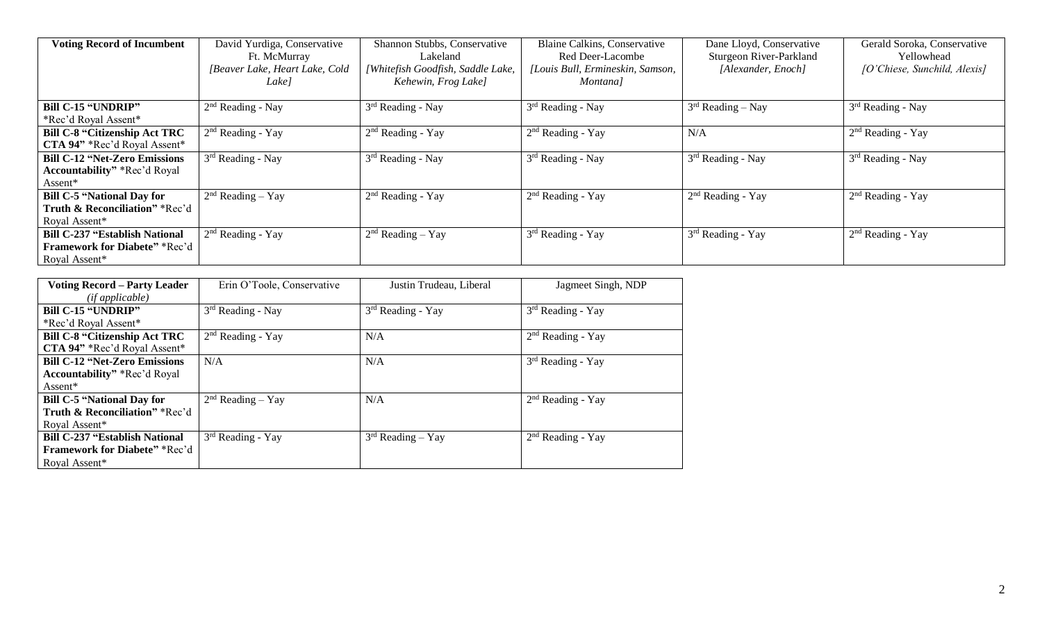| <b>Voting Record of Incumbent</b>     | David Yurdiga, Conservative<br>Ft. McMurray<br>[Beaver Lake, Heart Lake, Cold<br>Lake l | Shannon Stubbs, Conservative<br>Lakeland<br>[Whitefish Goodfish, Saddle Lake,<br>Kehewin, Frog Lake] | Blaine Calkins, Conservative<br>Red Deer-Lacombe<br>[Louis Bull, Ermineskin, Samson,<br>Montana] | Dane Lloyd, Conservative<br>Sturgeon River-Parkland<br>[Alexander, Enoch] | Gerald Soroka, Conservative<br>Yellowhead<br>[O'Chiese, Sunchild, Alexis] |
|---------------------------------------|-----------------------------------------------------------------------------------------|------------------------------------------------------------------------------------------------------|--------------------------------------------------------------------------------------------------|---------------------------------------------------------------------------|---------------------------------------------------------------------------|
| <b>Bill C-15 "UNDRIP"</b>             | $2nd$ Reading - Nay                                                                     | $3rd$ Reading - Nay                                                                                  | $3rd$ Reading - Nay                                                                              | $3rd Reading - Navy$                                                      | 3rd Reading - Nay                                                         |
| *Rec'd Royal Assent*                  |                                                                                         |                                                                                                      |                                                                                                  |                                                                           |                                                                           |
| <b>Bill C-8 "Citizenship Act TRC</b>  | $2nd$ Reading - Yay                                                                     | 2 <sup>nd</sup> Reading - Yay                                                                        | $2nd$ Reading - Yay                                                                              | N/A                                                                       | $2nd$ Reading - Yay                                                       |
| CTA 94" *Rec'd Royal Assent*          |                                                                                         |                                                                                                      |                                                                                                  |                                                                           |                                                                           |
| <b>Bill C-12 "Net-Zero Emissions</b>  | $3rd$ Reading - Nay                                                                     | $3rd$ Reading - Nay                                                                                  | $3rd$ Reading - Nay                                                                              | $3rd$ Reading - Nay                                                       | $3rd$ Reading - Nay                                                       |
| <b>Accountability</b> " *Rec'd Royal  |                                                                                         |                                                                                                      |                                                                                                  |                                                                           |                                                                           |
| Assent*                               |                                                                                         |                                                                                                      |                                                                                                  |                                                                           |                                                                           |
| <b>Bill C-5 "National Day for</b>     | $2nd Reading - Yay$                                                                     | $2nd$ Reading - Yay                                                                                  | $2nd$ Reading - Yay                                                                              | $2nd$ Reading - Yay                                                       | $2nd Reading - Yay$                                                       |
| Truth & Reconciliation" *Rec'd        |                                                                                         |                                                                                                      |                                                                                                  |                                                                           |                                                                           |
| Royal Assent*                         |                                                                                         |                                                                                                      |                                                                                                  |                                                                           |                                                                           |
| <b>Bill C-237 "Establish National</b> | $2nd$ Reading - Yay                                                                     | $2nd Reading - Yay$                                                                                  | $3rd$ Reading - Yay                                                                              | 3rd Reading - Yay                                                         | $2nd$ Reading - Yay                                                       |
| <b>Framework for Diabete</b> " *Rec'd |                                                                                         |                                                                                                      |                                                                                                  |                                                                           |                                                                           |
| Royal Assent*                         |                                                                                         |                                                                                                      |                                                                                                  |                                                                           |                                                                           |

| <b>Voting Record – Party Leader</b>        | Erin O'Toole, Conservative | Justin Trudeau, Liberal | Jagmeet Singh, NDP  |
|--------------------------------------------|----------------------------|-------------------------|---------------------|
| (ifappliedble)                             |                            |                         |                     |
| <b>Bill C-15 "UNDRIP"</b>                  | $3rd$ Reading - Nay        | $3rd$ Reading - Yay     | $3rd$ Reading - Yay |
| *Rec'd Royal Assent*                       |                            |                         |                     |
| <b>Bill C-8 "Citizenship Act TRC</b>       | $2nd$ Reading - Yay        | N/A                     | $2nd$ Reading - Yay |
| CTA 94" *Rec'd Royal Assent*               |                            |                         |                     |
| <b>Bill C-12 "Net-Zero Emissions</b>       | N/A                        | N/A                     | $3rd$ Reading - Yay |
| <b>Accountability</b> " *Rec'd Royal       |                            |                         |                     |
| Assent*                                    |                            |                         |                     |
| <b>Bill C-5 "National Day for</b>          | $2nd Reading - Yay$        | N/A                     | $2nd$ Reading - Yay |
| <b>Truth &amp; Reconciliation</b> " *Rec'd |                            |                         |                     |
| Royal Assent*                              |                            |                         |                     |
| <b>Bill C-237 "Establish National</b>      | $3rd$ Reading - Yay        | $3rd$ Reading – Yay     | $2nd$ Reading - Yay |
| <b>Framework for Diabete</b> " *Rec'd      |                            |                         |                     |
| Royal Assent*                              |                            |                         |                     |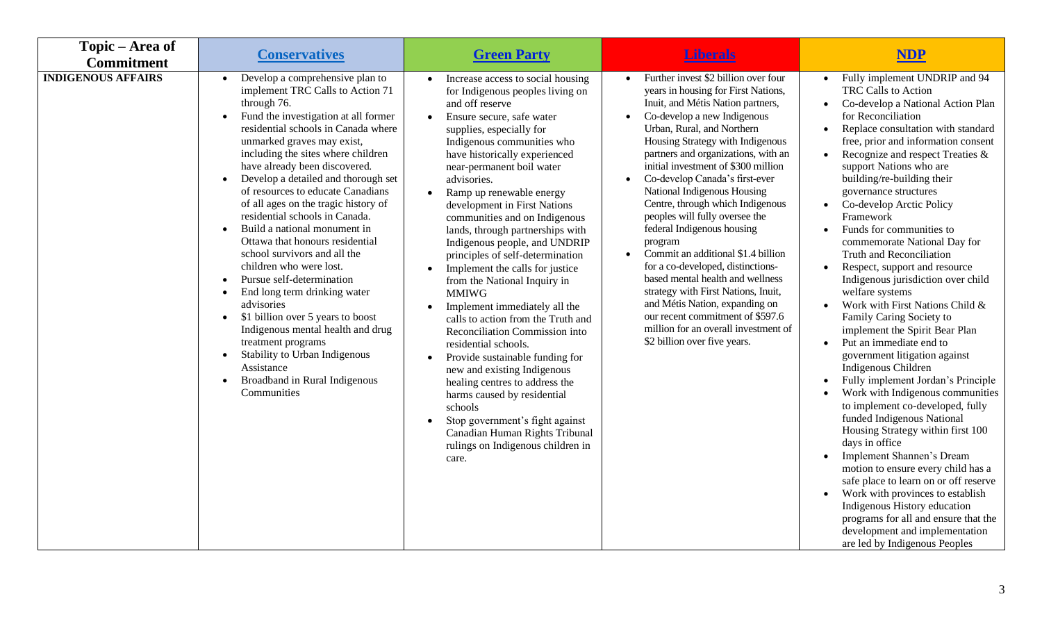| Topic – Area of<br><b>Commitment</b> | <b>Conservatives</b>                                                                                                                                                                                                                                                                                                                                                                                                                                                                                                                                                                                                                                                                                                                                                                                                                                                                                                                                      | <b>Green Party</b>                                                                                                                                                                                                                                                                                                                                                                                                                                                                                                                                                                                                                                                                                                                                                                                                                                                                                                                                                                                                       | <u>Liberals</u>                                                                                                                                                                                                                                                                                                                                                                                                                                                                                                                                                                                                                                                                                                                                                                                                                         | <b>NDP</b>                                                                                                                                                                                                                                                                                                                                                                                                                                                                                                                                                                                                                                                                                                                                                                                                                                                                                                                                                                                                                                                                                                                                                                                                                                   |
|--------------------------------------|-----------------------------------------------------------------------------------------------------------------------------------------------------------------------------------------------------------------------------------------------------------------------------------------------------------------------------------------------------------------------------------------------------------------------------------------------------------------------------------------------------------------------------------------------------------------------------------------------------------------------------------------------------------------------------------------------------------------------------------------------------------------------------------------------------------------------------------------------------------------------------------------------------------------------------------------------------------|--------------------------------------------------------------------------------------------------------------------------------------------------------------------------------------------------------------------------------------------------------------------------------------------------------------------------------------------------------------------------------------------------------------------------------------------------------------------------------------------------------------------------------------------------------------------------------------------------------------------------------------------------------------------------------------------------------------------------------------------------------------------------------------------------------------------------------------------------------------------------------------------------------------------------------------------------------------------------------------------------------------------------|-----------------------------------------------------------------------------------------------------------------------------------------------------------------------------------------------------------------------------------------------------------------------------------------------------------------------------------------------------------------------------------------------------------------------------------------------------------------------------------------------------------------------------------------------------------------------------------------------------------------------------------------------------------------------------------------------------------------------------------------------------------------------------------------------------------------------------------------|----------------------------------------------------------------------------------------------------------------------------------------------------------------------------------------------------------------------------------------------------------------------------------------------------------------------------------------------------------------------------------------------------------------------------------------------------------------------------------------------------------------------------------------------------------------------------------------------------------------------------------------------------------------------------------------------------------------------------------------------------------------------------------------------------------------------------------------------------------------------------------------------------------------------------------------------------------------------------------------------------------------------------------------------------------------------------------------------------------------------------------------------------------------------------------------------------------------------------------------------|
| <b>INDIGENOUS AFFAIRS</b>            | Develop a comprehensive plan to<br>$\bullet$<br>implement TRC Calls to Action 71<br>through 76.<br>Fund the investigation at all former<br>$\bullet$<br>residential schools in Canada where<br>unmarked graves may exist,<br>including the sites where children<br>have already been discovered.<br>Develop a detailed and thorough set<br>$\bullet$<br>of resources to educate Canadians<br>of all ages on the tragic history of<br>residential schools in Canada.<br>Build a national monument in<br>$\bullet$<br>Ottawa that honours residential<br>school survivors and all the<br>children who were lost.<br>Pursue self-determination<br>$\bullet$<br>End long term drinking water<br>$\bullet$<br>advisories<br>\$1 billion over 5 years to boost<br>$\bullet$<br>Indigenous mental health and drug<br>treatment programs<br>Stability to Urban Indigenous<br>$\bullet$<br>Assistance<br>Broadband in Rural Indigenous<br>$\bullet$<br>Communities | Increase access to social housing<br>$\bullet$<br>for Indigenous peoples living on<br>and off reserve<br>Ensure secure, safe water<br>$\bullet$<br>supplies, especially for<br>Indigenous communities who<br>have historically experienced<br>near-permanent boil water<br>advisories.<br>Ramp up renewable energy<br>$\bullet$<br>development in First Nations<br>communities and on Indigenous<br>lands, through partnerships with<br>Indigenous people, and UNDRIP<br>principles of self-determination<br>Implement the calls for justice<br>from the National Inquiry in<br><b>MMIWG</b><br>Implement immediately all the<br>$\bullet$<br>calls to action from the Truth and<br>Reconciliation Commission into<br>residential schools.<br>Provide sustainable funding for<br>$\bullet$<br>new and existing Indigenous<br>healing centres to address the<br>harms caused by residential<br>schools<br>Stop government's fight against<br>Canadian Human Rights Tribunal<br>rulings on Indigenous children in<br>care. | Further invest \$2 billion over four<br>$\bullet$<br>years in housing for First Nations,<br>Inuit, and Métis Nation partners,<br>Co-develop a new Indigenous<br>$\bullet$<br>Urban, Rural, and Northern<br>Housing Strategy with Indigenous<br>partners and organizations, with an<br>initial investment of \$300 million<br>Co-develop Canada's first-ever<br>$\bullet$<br>National Indigenous Housing<br>Centre, through which Indigenous<br>peoples will fully oversee the<br>federal Indigenous housing<br>program<br>Commit an additional \$1.4 billion<br>$\bullet$<br>for a co-developed, distinctions-<br>based mental health and wellness<br>strategy with First Nations, Inuit,<br>and Métis Nation, expanding on<br>our recent commitment of \$597.6<br>million for an overall investment of<br>\$2 billion over five years. | Fully implement UNDRIP and 94<br>TRC Calls to Action<br>Co-develop a National Action Plan<br>for Reconciliation<br>Replace consultation with standard<br>$\bullet$<br>free, prior and information consent<br>Recognize and respect Treaties &<br>support Nations who are<br>building/re-building their<br>governance structures<br>Co-develop Arctic Policy<br>Framework<br>Funds for communities to<br>commemorate National Day for<br>Truth and Reconciliation<br>Respect, support and resource<br>Indigenous jurisdiction over child<br>welfare systems<br>Work with First Nations Child &<br>Family Caring Society to<br>implement the Spirit Bear Plan<br>Put an immediate end to<br>government litigation against<br>Indigenous Children<br>Fully implement Jordan's Principle<br>Work with Indigenous communities<br>to implement co-developed, fully<br>funded Indigenous National<br>Housing Strategy within first 100<br>days in office<br>Implement Shannen's Dream<br>motion to ensure every child has a<br>safe place to learn on or off reserve<br>Work with provinces to establish<br>Indigenous History education<br>programs for all and ensure that the<br>development and implementation<br>are led by Indigenous Peoples |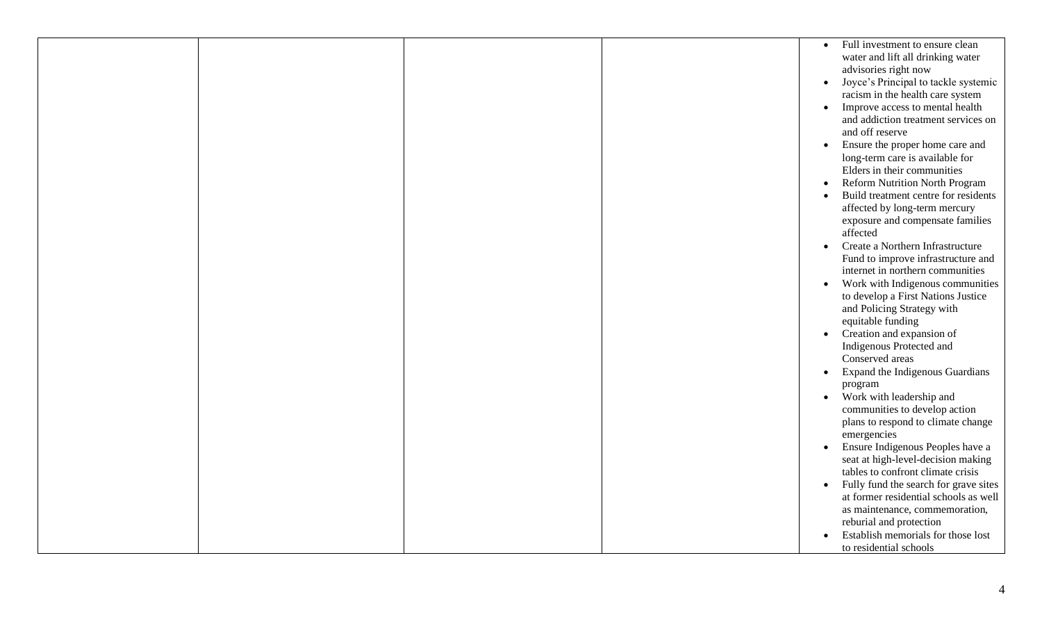|  |  | Full investment to ensure clean<br>$\bullet$       |
|--|--|----------------------------------------------------|
|  |  | water and lift all drinking water                  |
|  |  | advisories right now                               |
|  |  | Joyce's Principal to tackle systemic<br>$\bullet$  |
|  |  | racism in the health care system                   |
|  |  | Improve access to mental health<br>$\bullet$       |
|  |  | and addiction treatment services on                |
|  |  | and off reserve                                    |
|  |  | Ensure the proper home care and<br>$\bullet$       |
|  |  | long-term care is available for                    |
|  |  | Elders in their communities                        |
|  |  | Reform Nutrition North Program<br>$\bullet$        |
|  |  | Build treatment centre for residents<br>$\bullet$  |
|  |  | affected by long-term mercury                      |
|  |  | exposure and compensate families                   |
|  |  | affected                                           |
|  |  | Create a Northern Infrastructure<br>$\bullet$      |
|  |  | Fund to improve infrastructure and                 |
|  |  | internet in northern communities                   |
|  |  | Work with Indigenous communities<br>$\bullet$      |
|  |  | to develop a First Nations Justice                 |
|  |  | and Policing Strategy with                         |
|  |  | equitable funding                                  |
|  |  | Creation and expansion of<br>$\bullet$             |
|  |  | Indigenous Protected and                           |
|  |  | Conserved areas                                    |
|  |  | Expand the Indigenous Guardians<br>$\bullet$       |
|  |  | program                                            |
|  |  | • Work with leadership and                         |
|  |  | communities to develop action                      |
|  |  | plans to respond to climate change                 |
|  |  | emergencies                                        |
|  |  | Ensure Indigenous Peoples have a<br>$\bullet$      |
|  |  | seat at high-level-decision making                 |
|  |  | tables to confront climate crisis                  |
|  |  | Fully fund the search for grave sites<br>$\bullet$ |
|  |  | at former residential schools as well              |
|  |  | as maintenance, commemoration,                     |
|  |  | reburial and protection                            |
|  |  | Establish memorials for those lost<br>$\bullet$    |
|  |  | to residential schools                             |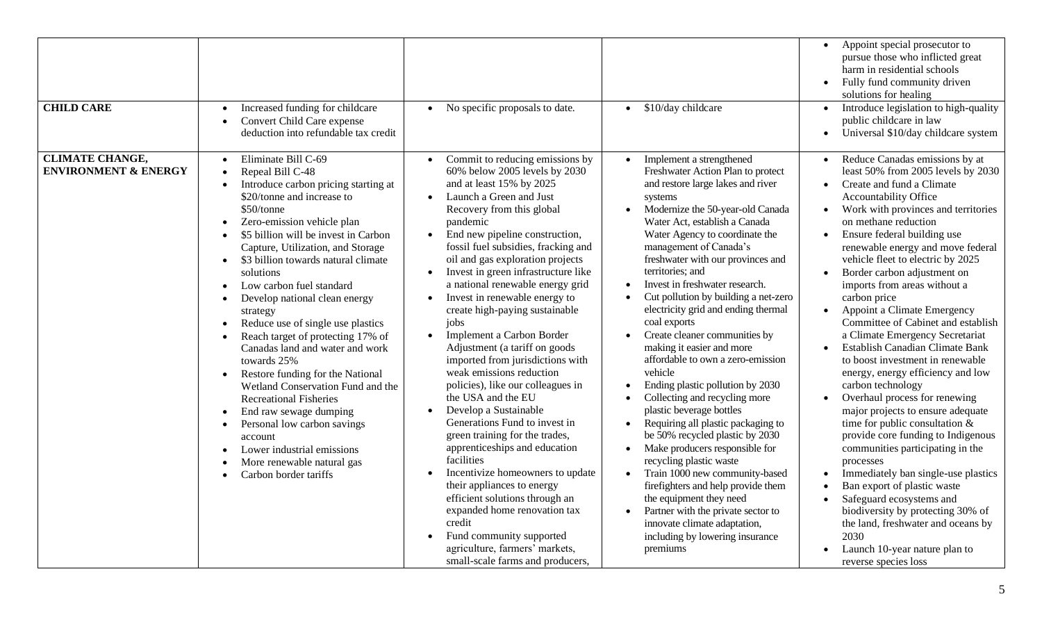| <b>CHILD CARE</b>                                         | Increased funding for childcare<br>$\bullet$<br>Convert Child Care expense<br>$\bullet$<br>deduction into refundable tax credit                                                                                                                                                                                                                                                                                                                                                                                                                                                                                                                                                                                                                                                                                                                                                                                                                                                    | No specific proposals to date.                                                                                                                                                                                                                                                                                                                                                                                                                                                                                                                                                                                                                                                                                                                                                                                                                                                                                                                                                                                                                                              | \$10/day childcare                                                                                                                                                                                                                                                                                                                                                                                                                                                                                                                                                                                                                                                                                                                                                                                                                                                                                                                                                                                                                                                                                  | Appoint special prosecutor to<br>pursue those who inflicted great<br>harm in residential schools<br>Fully fund community driven<br>solutions for healing<br>Introduce legislation to high-quality<br>public childcare in law<br>Universal \$10/day childcare system                                                                                                                                                                                                                                                                                                                                                                                                                                                                                                                                                                                                                                                                                                                                                                                                               |
|-----------------------------------------------------------|------------------------------------------------------------------------------------------------------------------------------------------------------------------------------------------------------------------------------------------------------------------------------------------------------------------------------------------------------------------------------------------------------------------------------------------------------------------------------------------------------------------------------------------------------------------------------------------------------------------------------------------------------------------------------------------------------------------------------------------------------------------------------------------------------------------------------------------------------------------------------------------------------------------------------------------------------------------------------------|-----------------------------------------------------------------------------------------------------------------------------------------------------------------------------------------------------------------------------------------------------------------------------------------------------------------------------------------------------------------------------------------------------------------------------------------------------------------------------------------------------------------------------------------------------------------------------------------------------------------------------------------------------------------------------------------------------------------------------------------------------------------------------------------------------------------------------------------------------------------------------------------------------------------------------------------------------------------------------------------------------------------------------------------------------------------------------|-----------------------------------------------------------------------------------------------------------------------------------------------------------------------------------------------------------------------------------------------------------------------------------------------------------------------------------------------------------------------------------------------------------------------------------------------------------------------------------------------------------------------------------------------------------------------------------------------------------------------------------------------------------------------------------------------------------------------------------------------------------------------------------------------------------------------------------------------------------------------------------------------------------------------------------------------------------------------------------------------------------------------------------------------------------------------------------------------------|-----------------------------------------------------------------------------------------------------------------------------------------------------------------------------------------------------------------------------------------------------------------------------------------------------------------------------------------------------------------------------------------------------------------------------------------------------------------------------------------------------------------------------------------------------------------------------------------------------------------------------------------------------------------------------------------------------------------------------------------------------------------------------------------------------------------------------------------------------------------------------------------------------------------------------------------------------------------------------------------------------------------------------------------------------------------------------------|
| <b>CLIMATE CHANGE,</b><br><b>ENVIRONMENT &amp; ENERGY</b> | Eliminate Bill C-69<br>$\bullet$<br>Repeal Bill C-48<br>$\bullet$<br>Introduce carbon pricing starting at<br>$\bullet$<br>\$20/tonne and increase to<br>\$50/tonne<br>Zero-emission vehicle plan<br>$\bullet$<br>\$5 billion will be invest in Carbon<br>$\bullet$<br>Capture, Utilization, and Storage<br>\$3 billion towards natural climate<br>$\bullet$<br>solutions<br>Low carbon fuel standard<br>$\bullet$<br>Develop national clean energy<br>$\bullet$<br>strategy<br>Reduce use of single use plastics<br>$\bullet$<br>Reach target of protecting 17% of<br>$\bullet$<br>Canadas land and water and work<br>towards 25%<br>Restore funding for the National<br>$\bullet$<br>Wetland Conservation Fund and the<br><b>Recreational Fisheries</b><br>End raw sewage dumping<br>$\bullet$<br>Personal low carbon savings<br>$\bullet$<br>account<br>Lower industrial emissions<br>$\bullet$<br>More renewable natural gas<br>$\bullet$<br>Carbon border tariffs<br>$\bullet$ | Commit to reducing emissions by<br>60% below 2005 levels by 2030<br>and at least 15% by 2025<br>Launch a Green and Just<br>Recovery from this global<br>pandemic<br>End new pipeline construction,<br>$\bullet$<br>fossil fuel subsidies, fracking and<br>oil and gas exploration projects<br>Invest in green infrastructure like<br>a national renewable energy grid<br>Invest in renewable energy to<br>create high-paying sustainable<br>jobs<br>Implement a Carbon Border<br>$\bullet$<br>Adjustment (a tariff on goods<br>imported from jurisdictions with<br>weak emissions reduction<br>policies), like our colleagues in<br>the USA and the EU<br>Develop a Sustainable<br>$\bullet$<br>Generations Fund to invest in<br>green training for the trades,<br>apprenticeships and education<br>facilities<br>Incentivize homeowners to update<br>$\bullet$<br>their appliances to energy<br>efficient solutions through an<br>expanded home renovation tax<br>credit<br>Fund community supported<br>agriculture, farmers' markets,<br>small-scale farms and producers, | Implement a strengthened<br>$\bullet$<br>Freshwater Action Plan to protect<br>and restore large lakes and river<br>systems<br>Modernize the 50-year-old Canada<br>Water Act, establish a Canada<br>Water Agency to coordinate the<br>management of Canada's<br>freshwater with our provinces and<br>territories; and<br>Invest in freshwater research.<br>$\bullet$<br>Cut pollution by building a net-zero<br>electricity grid and ending thermal<br>coal exports<br>Create cleaner communities by<br>making it easier and more<br>affordable to own a zero-emission<br>vehicle<br>Ending plastic pollution by 2030<br>$\bullet$<br>Collecting and recycling more<br>$\bullet$<br>plastic beverage bottles<br>Requiring all plastic packaging to<br>$\bullet$<br>be 50% recycled plastic by 2030<br>Make producers responsible for<br>$\bullet$<br>recycling plastic waste<br>Train 1000 new community-based<br>firefighters and help provide them<br>the equipment they need<br>Partner with the private sector to<br>innovate climate adaptation,<br>including by lowering insurance<br>premiums | Reduce Canadas emissions by at<br>least 50% from 2005 levels by 2030<br>Create and fund a Climate<br>Accountability Office<br>Work with provinces and territories<br>on methane reduction<br>Ensure federal building use<br>renewable energy and move federal<br>vehicle fleet to electric by 2025<br>Border carbon adjustment on<br>imports from areas without a<br>carbon price<br>Appoint a Climate Emergency<br>Committee of Cabinet and establish<br>a Climate Emergency Secretariat<br><b>Establish Canadian Climate Bank</b><br>to boost investment in renewable<br>energy, energy efficiency and low<br>carbon technology<br>Overhaul process for renewing<br>major projects to ensure adequate<br>time for public consultation $\&$<br>provide core funding to Indigenous<br>communities participating in the<br>processes<br>Immediately ban single-use plastics<br>Ban export of plastic waste<br>Safeguard ecosystems and<br>biodiversity by protecting 30% of<br>the land, freshwater and oceans by<br>2030<br>Launch 10-year nature plan to<br>reverse species loss |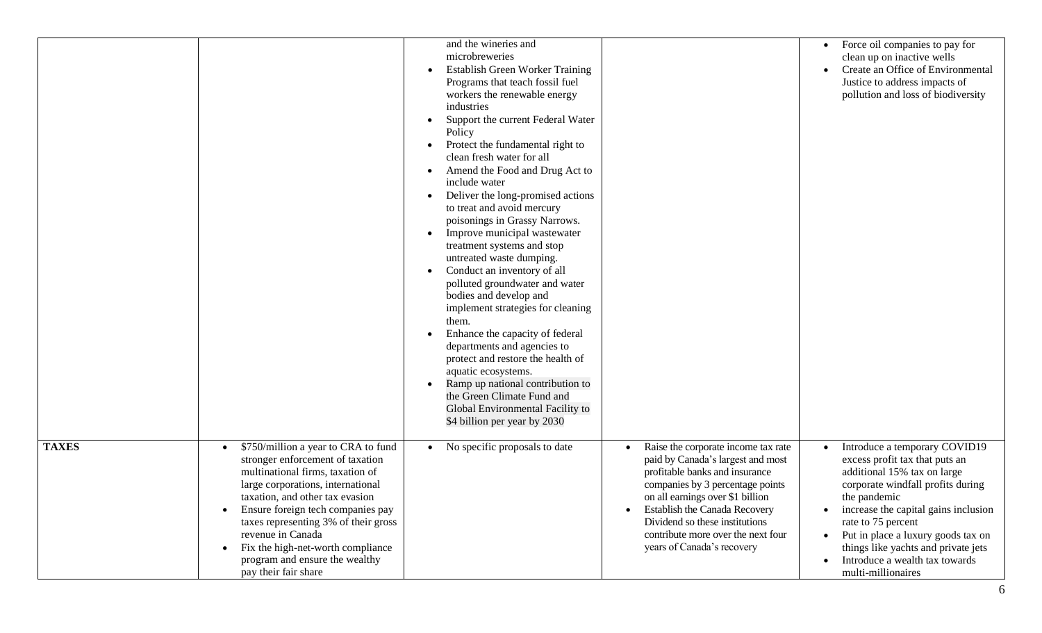|              |                                                                                                                                                                                                                                                                                                                                                                                                                             | and the wineries and<br>microbreweries<br>Establish Green Worker Training<br>Programs that teach fossil fuel<br>workers the renewable energy<br>industries<br>Support the current Federal Water<br>Policy<br>Protect the fundamental right to<br>clean fresh water for all<br>Amend the Food and Drug Act to<br>include water<br>Deliver the long-promised actions<br>to treat and avoid mercury<br>poisonings in Grassy Narrows.<br>Improve municipal wastewater<br>treatment systems and stop<br>untreated waste dumping.<br>Conduct an inventory of all<br>polluted groundwater and water<br>bodies and develop and<br>implement strategies for cleaning<br>them.<br>Enhance the capacity of federal<br>departments and agencies to<br>protect and restore the health of<br>aquatic ecosystems.<br>Ramp up national contribution to<br>the Green Climate Fund and<br>Global Environmental Facility to<br>\$4 billion per year by 2030 |                                                                                                                                                                                                                                                                                                                                                     | Force oil companies to pay for<br>$\bullet$<br>clean up on inactive wells<br>Create an Office of Environmental<br>$\bullet$<br>Justice to address impacts of<br>pollution and loss of biodiversity                                                                                                                                                                                                         |
|--------------|-----------------------------------------------------------------------------------------------------------------------------------------------------------------------------------------------------------------------------------------------------------------------------------------------------------------------------------------------------------------------------------------------------------------------------|------------------------------------------------------------------------------------------------------------------------------------------------------------------------------------------------------------------------------------------------------------------------------------------------------------------------------------------------------------------------------------------------------------------------------------------------------------------------------------------------------------------------------------------------------------------------------------------------------------------------------------------------------------------------------------------------------------------------------------------------------------------------------------------------------------------------------------------------------------------------------------------------------------------------------------------|-----------------------------------------------------------------------------------------------------------------------------------------------------------------------------------------------------------------------------------------------------------------------------------------------------------------------------------------------------|------------------------------------------------------------------------------------------------------------------------------------------------------------------------------------------------------------------------------------------------------------------------------------------------------------------------------------------------------------------------------------------------------------|
| <b>TAXES</b> | \$750/million a year to CRA to fund<br>$\bullet$<br>stronger enforcement of taxation<br>multinational firms, taxation of<br>large corporations, international<br>taxation, and other tax evasion<br>Ensure foreign tech companies pay<br>$\bullet$<br>taxes representing 3% of their gross<br>revenue in Canada<br>Fix the high-net-worth compliance<br>$\bullet$<br>program and ensure the wealthy<br>pay their fair share | No specific proposals to date<br>$\bullet$                                                                                                                                                                                                                                                                                                                                                                                                                                                                                                                                                                                                                                                                                                                                                                                                                                                                                               | Raise the corporate income tax rate<br>$\bullet$<br>paid by Canada's largest and most<br>profitable banks and insurance<br>companies by 3 percentage points<br>on all earnings over \$1 billion<br>Establish the Canada Recovery<br>$\bullet$<br>Dividend so these institutions<br>contribute more over the next four<br>years of Canada's recovery | Introduce a temporary COVID19<br>$\bullet$<br>excess profit tax that puts an<br>additional 15% tax on large<br>corporate windfall profits during<br>the pandemic<br>increase the capital gains inclusion<br>$\bullet$<br>rate to 75 percent<br>Put in place a luxury goods tax on<br>$\bullet$<br>things like yachts and private jets<br>Introduce a wealth tax towards<br>$\bullet$<br>multi-millionaires |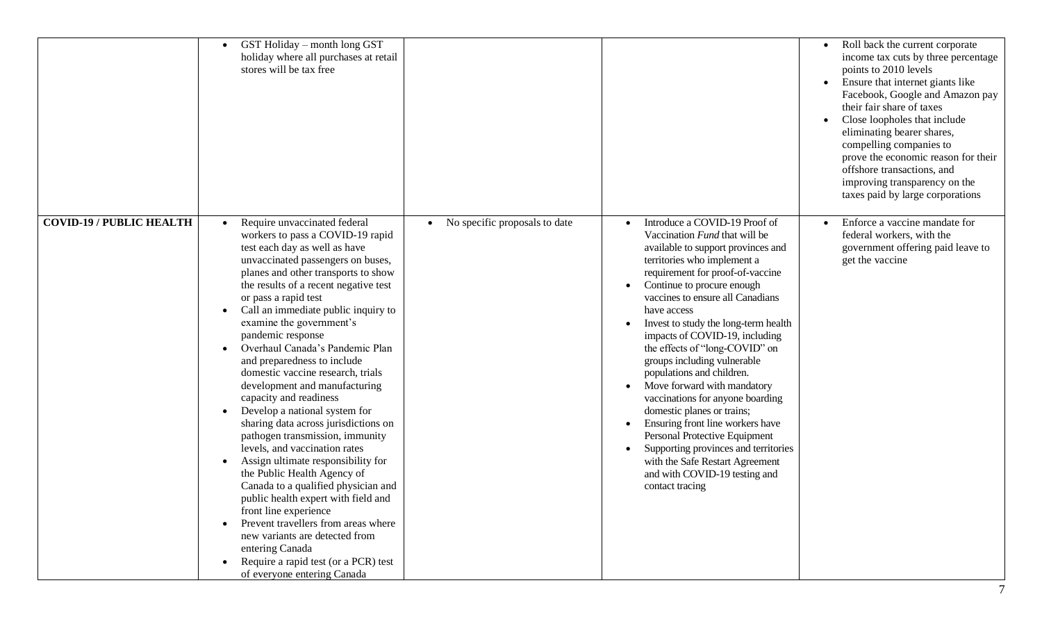|                                 | GST Holiday – month long GST<br>holiday where all purchases at retail<br>stores will be tax free                                                                                                                                                                                                                                                                                                                                                                                                                                                                                                                                                                                                                                                                                                                                                                                                                                                                                                                                                                | Roll back the current corporate<br>income tax cuts by three percentage<br>points to 2010 levels<br>Ensure that internet giants like<br>Facebook, Google and Amazon pay<br>their fair share of taxes<br>Close loopholes that include<br>eliminating bearer shares,<br>compelling companies to<br>prove the economic reason for their<br>offshore transactions, and<br>improving transparency on the<br>taxes paid by large corporations                                                                                                                                                                                                                                                                                                                                                                                                                      |
|---------------------------------|-----------------------------------------------------------------------------------------------------------------------------------------------------------------------------------------------------------------------------------------------------------------------------------------------------------------------------------------------------------------------------------------------------------------------------------------------------------------------------------------------------------------------------------------------------------------------------------------------------------------------------------------------------------------------------------------------------------------------------------------------------------------------------------------------------------------------------------------------------------------------------------------------------------------------------------------------------------------------------------------------------------------------------------------------------------------|-------------------------------------------------------------------------------------------------------------------------------------------------------------------------------------------------------------------------------------------------------------------------------------------------------------------------------------------------------------------------------------------------------------------------------------------------------------------------------------------------------------------------------------------------------------------------------------------------------------------------------------------------------------------------------------------------------------------------------------------------------------------------------------------------------------------------------------------------------------|
| <b>COVID-19 / PUBLIC HEALTH</b> | Require unvaccinated federal<br>No specific proposals to date<br>$\bullet$<br>workers to pass a COVID-19 rapid<br>test each day as well as have<br>unvaccinated passengers on buses,<br>planes and other transports to show<br>the results of a recent negative test<br>or pass a rapid test<br>Call an immediate public inquiry to<br>examine the government's<br>pandemic response<br>Overhaul Canada's Pandemic Plan<br>and preparedness to include<br>domestic vaccine research, trials<br>development and manufacturing<br>capacity and readiness<br>Develop a national system for<br>$\bullet$<br>sharing data across jurisdictions on<br>pathogen transmission, immunity<br>levels, and vaccination rates<br>Assign ultimate responsibility for<br>the Public Health Agency of<br>Canada to a qualified physician and<br>public health expert with field and<br>front line experience<br>Prevent travellers from areas where<br>new variants are detected from<br>entering Canada<br>Require a rapid test (or a PCR) test<br>of everyone entering Canada | Introduce a COVID-19 Proof of<br>Enforce a vaccine mandate for<br>federal workers, with the<br>Vaccination Fund that will be<br>available to support provinces and<br>government offering paid leave to<br>territories who implement a<br>get the vaccine<br>requirement for proof-of-vaccine<br>Continue to procure enough<br>vaccines to ensure all Canadians<br>have access<br>Invest to study the long-term health<br>impacts of COVID-19, including<br>the effects of "long-COVID" on<br>groups including vulnerable<br>populations and children.<br>Move forward with mandatory<br>vaccinations for anyone boarding<br>domestic planes or trains;<br>Ensuring front line workers have<br>Personal Protective Equipment<br>Supporting provinces and territories<br>with the Safe Restart Agreement<br>and with COVID-19 testing and<br>contact tracing |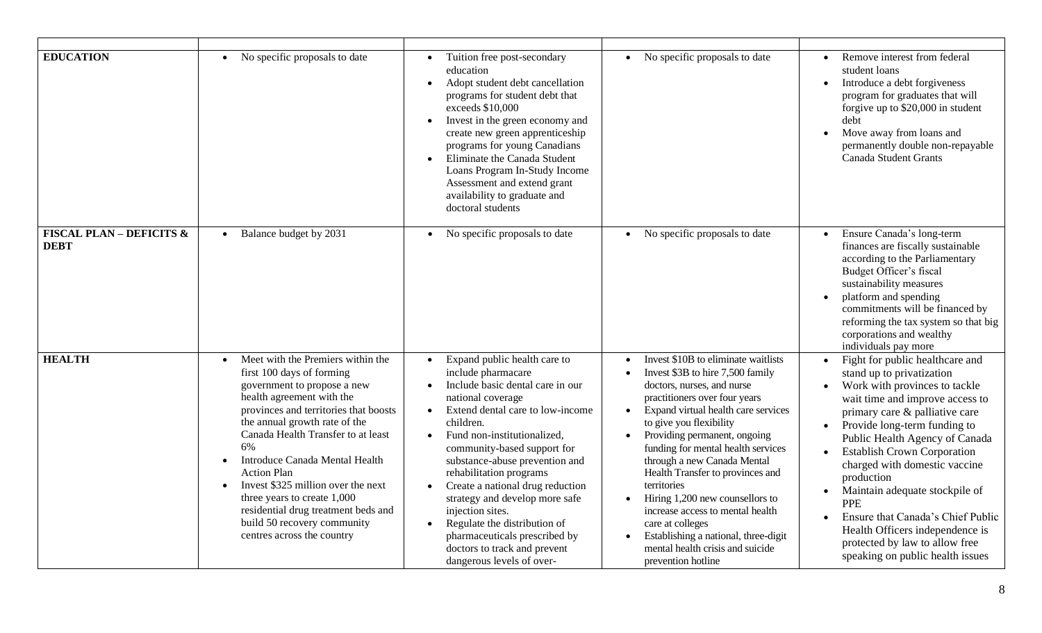| <b>EDUCATION</b>                                   | No specific proposals to date<br>$\bullet$                                                                                                                                                                                                                                                                                                                                                                                                                                                                               | Tuition free post-secondary<br>education<br>Adopt student debt cancellation<br>$\bullet$<br>programs for student debt that<br>exceeds \$10,000<br>Invest in the green economy and<br>$\bullet$<br>create new green apprenticeship<br>programs for young Canadians<br>Eliminate the Canada Student<br>$\bullet$<br>Loans Program In-Study Income<br>Assessment and extend grant<br>availability to graduate and<br>doctoral students                                                                                                                                                           | No specific proposals to date                                                                                                                                                                                                                                                                                                                                                                                                                                                                                                                                                           | Remove interest from federal<br>student loans<br>Introduce a debt forgiveness<br>$\bullet$<br>program for graduates that will<br>forgive up to \$20,000 in student<br>debt<br>Move away from loans and<br>permanently double non-repayable<br><b>Canada Student Grants</b>                                                                                                                                                                                                                                              |
|----------------------------------------------------|--------------------------------------------------------------------------------------------------------------------------------------------------------------------------------------------------------------------------------------------------------------------------------------------------------------------------------------------------------------------------------------------------------------------------------------------------------------------------------------------------------------------------|-----------------------------------------------------------------------------------------------------------------------------------------------------------------------------------------------------------------------------------------------------------------------------------------------------------------------------------------------------------------------------------------------------------------------------------------------------------------------------------------------------------------------------------------------------------------------------------------------|-----------------------------------------------------------------------------------------------------------------------------------------------------------------------------------------------------------------------------------------------------------------------------------------------------------------------------------------------------------------------------------------------------------------------------------------------------------------------------------------------------------------------------------------------------------------------------------------|-------------------------------------------------------------------------------------------------------------------------------------------------------------------------------------------------------------------------------------------------------------------------------------------------------------------------------------------------------------------------------------------------------------------------------------------------------------------------------------------------------------------------|
| <b>FISCAL PLAN - DEFICITS &amp;</b><br><b>DEBT</b> | Balance budget by 2031<br>$\bullet$                                                                                                                                                                                                                                                                                                                                                                                                                                                                                      | No specific proposals to date                                                                                                                                                                                                                                                                                                                                                                                                                                                                                                                                                                 | No specific proposals to date                                                                                                                                                                                                                                                                                                                                                                                                                                                                                                                                                           | Ensure Canada's long-term<br>finances are fiscally sustainable<br>according to the Parliamentary<br>Budget Officer's fiscal<br>sustainability measures<br>platform and spending<br>commitments will be financed by<br>reforming the tax system so that big<br>corporations and wealthy<br>individuals pay more                                                                                                                                                                                                          |
| <b>HEALTH</b>                                      | Meet with the Premiers within the<br>$\bullet$<br>first 100 days of forming<br>government to propose a new<br>health agreement with the<br>provinces and territories that boosts<br>the annual growth rate of the<br>Canada Health Transfer to at least<br>6%<br>Introduce Canada Mental Health<br>$\bullet$<br><b>Action Plan</b><br>Invest \$325 million over the next<br>$\bullet$<br>three years to create 1,000<br>residential drug treatment beds and<br>build 50 recovery community<br>centres across the country | Expand public health care to<br>$\bullet$<br>include pharmacare<br>Include basic dental care in our<br>$\bullet$<br>national coverage<br>Extend dental care to low-income<br>$\bullet$<br>children.<br>Fund non-institutionalized,<br>$\bullet$<br>community-based support for<br>substance-abuse prevention and<br>rehabilitation programs<br>Create a national drug reduction<br>$\bullet$<br>strategy and develop more safe<br>injection sites.<br>Regulate the distribution of<br>$\bullet$<br>pharmaceuticals prescribed by<br>doctors to track and prevent<br>dangerous levels of over- | Invest \$10B to eliminate waitlists<br>$\bullet$<br>Invest \$3B to hire 7,500 family<br>$\bullet$<br>doctors, nurses, and nurse<br>practitioners over four years<br>Expand virtual health care services<br>to give you flexibility<br>Providing permanent, ongoing<br>funding for mental health services<br>through a new Canada Mental<br>Health Transfer to provinces and<br>territories<br>Hiring 1,200 new counsellors to<br>increase access to mental health<br>care at colleges<br>Establishing a national, three-digit<br>mental health crisis and suicide<br>prevention hotline | Fight for public healthcare and<br>stand up to privatization<br>Work with provinces to tackle<br>wait time and improve access to<br>primary care & palliative care<br>Provide long-term funding to<br>Public Health Agency of Canada<br><b>Establish Crown Corporation</b><br>charged with domestic vaccine<br>production<br>Maintain adequate stockpile of<br><b>PPE</b><br>Ensure that Canada's Chief Public<br>Health Officers independence is<br>protected by law to allow free<br>speaking on public health issues |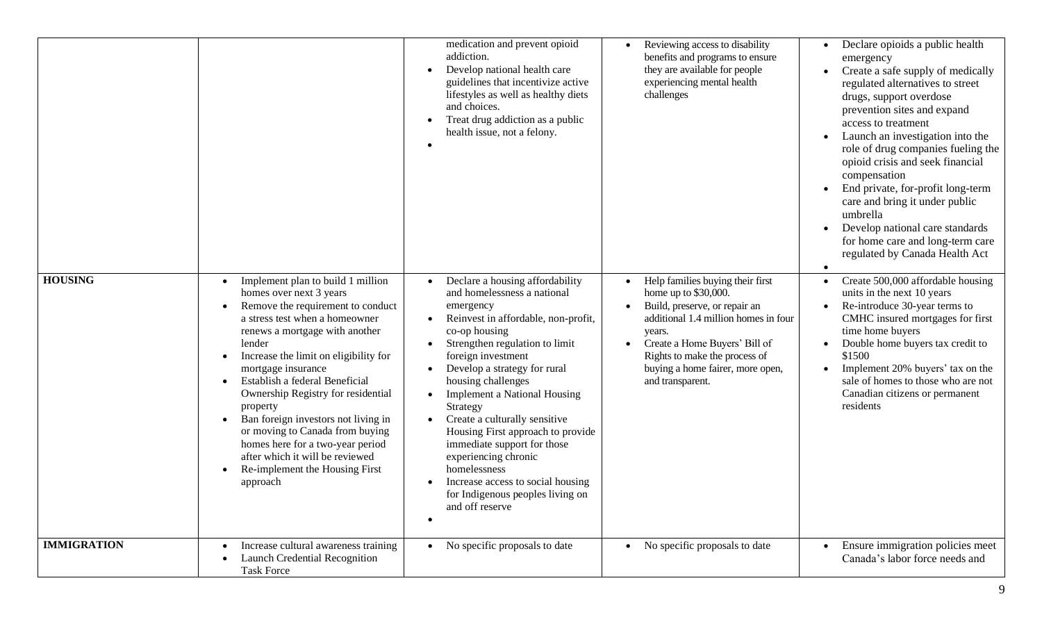|                    |                                                                                                                                                                                                                                                                                                                                                                                                                                                                                                                                                                          | medication and prevent opioid<br>addiction.<br>Develop national health care<br>$\bullet$<br>guidelines that incentivize active<br>lifestyles as well as healthy diets<br>and choices.<br>Treat drug addiction as a public<br>health issue, not a felony.                                                                                                                                                                                                                                                                                                                                                                    | Reviewing access to disability<br>benefits and programs to ensure<br>they are available for people<br>experiencing mental health<br>challenges                                                                                                                        | Declare opioids a public health<br>emergency<br>Create a safe supply of medically<br>regulated alternatives to street<br>drugs, support overdose<br>prevention sites and expand<br>access to treatment<br>Launch an investigation into the<br>role of drug companies fueling the<br>opioid crisis and seek financial<br>compensation<br>End private, for-profit long-term<br>care and bring it under public<br>umbrella<br>Develop national care standards<br>for home care and long-term care<br>regulated by Canada Health Act |
|--------------------|--------------------------------------------------------------------------------------------------------------------------------------------------------------------------------------------------------------------------------------------------------------------------------------------------------------------------------------------------------------------------------------------------------------------------------------------------------------------------------------------------------------------------------------------------------------------------|-----------------------------------------------------------------------------------------------------------------------------------------------------------------------------------------------------------------------------------------------------------------------------------------------------------------------------------------------------------------------------------------------------------------------------------------------------------------------------------------------------------------------------------------------------------------------------------------------------------------------------|-----------------------------------------------------------------------------------------------------------------------------------------------------------------------------------------------------------------------------------------------------------------------|----------------------------------------------------------------------------------------------------------------------------------------------------------------------------------------------------------------------------------------------------------------------------------------------------------------------------------------------------------------------------------------------------------------------------------------------------------------------------------------------------------------------------------|
| <b>HOUSING</b>     | Implement plan to build 1 million<br>homes over next 3 years<br>Remove the requirement to conduct<br>a stress test when a homeowner<br>renews a mortgage with another<br>lender<br>Increase the limit on eligibility for<br>$\bullet$<br>mortgage insurance<br>Establish a federal Beneficial<br>$\bullet$<br>Ownership Registry for residential<br>property<br>Ban foreign investors not living in<br>or moving to Canada from buying<br>homes here for a two-year period<br>after which it will be reviewed<br>Re-implement the Housing First<br>$\bullet$<br>approach | Declare a housing affordability<br>and homelessness a national<br>emergency<br>Reinvest in affordable, non-profit,<br>$\bullet$<br>co-op housing<br>Strengthen regulation to limit<br>$\bullet$<br>foreign investment<br>Develop a strategy for rural<br>$\bullet$<br>housing challenges<br><b>Implement a National Housing</b><br>Strategy<br>Create a culturally sensitive<br>$\bullet$<br>Housing First approach to provide<br>immediate support for those<br>experiencing chronic<br>homelessness<br>Increase access to social housing<br>$\bullet$<br>for Indigenous peoples living on<br>and off reserve<br>$\bullet$ | Help families buying their first<br>home up to \$30,000.<br>Build, preserve, or repair an<br>additional 1.4 million homes in four<br>years.<br>Create a Home Buyers' Bill of<br>Rights to make the process of<br>buying a home fairer, more open,<br>and transparent. | Create 500,000 affordable housing<br>units in the next 10 years<br>Re-introduce 30-year terms to<br>CMHC insured mortgages for first<br>time home buyers<br>Double home buyers tax credit to<br>\$1500<br>Implement 20% buyers' tax on the<br>sale of homes to those who are not<br>Canadian citizens or permanent<br>residents                                                                                                                                                                                                  |
| <b>IMMIGRATION</b> | Increase cultural awareness training<br>Launch Credential Recognition<br><b>Task Force</b>                                                                                                                                                                                                                                                                                                                                                                                                                                                                               | • No specific proposals to date                                                                                                                                                                                                                                                                                                                                                                                                                                                                                                                                                                                             | No specific proposals to date                                                                                                                                                                                                                                         | Ensure immigration policies meet<br>Canada's labor force needs and                                                                                                                                                                                                                                                                                                                                                                                                                                                               |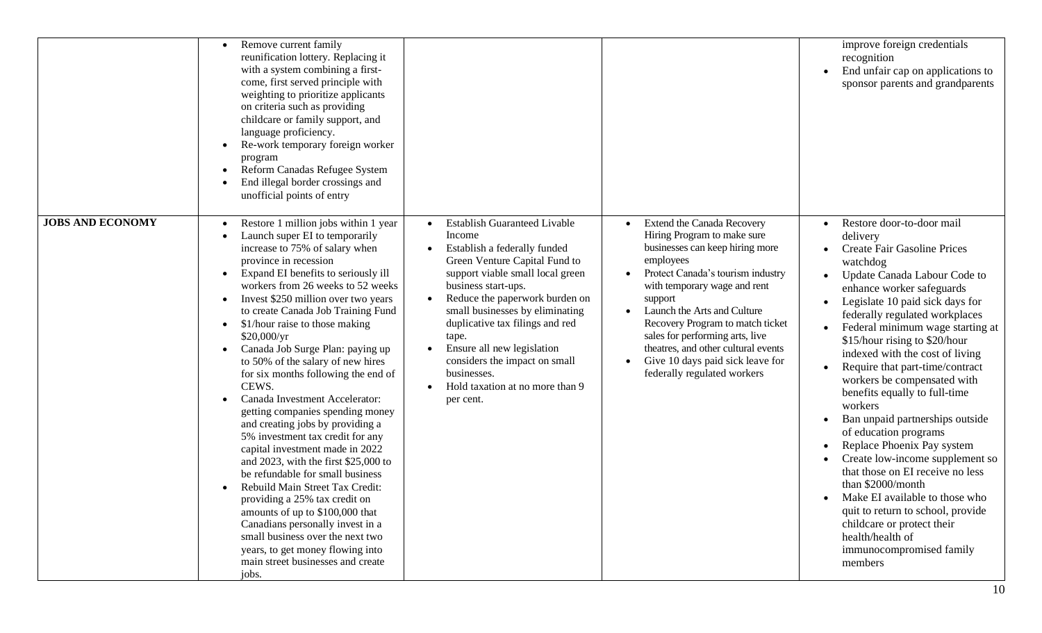|                         | Remove current family<br>reunification lottery. Replacing it<br>with a system combining a first-<br>come, first served principle with<br>weighting to prioritize applicants<br>on criteria such as providing<br>childcare or family support, and<br>language proficiency.<br>Re-work temporary foreign worker<br>program<br>Reform Canadas Refugee System<br>End illegal border crossings and<br>unofficial points of entry                                                                                                                                                                                                                                                                                                                                                                                                                                                                                                                                                                                                   |                                                                                                                                                                                                                                                                                                                                                                                                                                                                                           |                                                                                                                                                                                                                                                                                                                                                                                                                  | improve foreign credentials<br>recognition<br>End unfair cap on applications to<br>sponsor parents and grandparents                                                                                                                                                                                                                                                                                                                                                                                                                                                                                                                                                                                                                                                                                   |
|-------------------------|-------------------------------------------------------------------------------------------------------------------------------------------------------------------------------------------------------------------------------------------------------------------------------------------------------------------------------------------------------------------------------------------------------------------------------------------------------------------------------------------------------------------------------------------------------------------------------------------------------------------------------------------------------------------------------------------------------------------------------------------------------------------------------------------------------------------------------------------------------------------------------------------------------------------------------------------------------------------------------------------------------------------------------|-------------------------------------------------------------------------------------------------------------------------------------------------------------------------------------------------------------------------------------------------------------------------------------------------------------------------------------------------------------------------------------------------------------------------------------------------------------------------------------------|------------------------------------------------------------------------------------------------------------------------------------------------------------------------------------------------------------------------------------------------------------------------------------------------------------------------------------------------------------------------------------------------------------------|-------------------------------------------------------------------------------------------------------------------------------------------------------------------------------------------------------------------------------------------------------------------------------------------------------------------------------------------------------------------------------------------------------------------------------------------------------------------------------------------------------------------------------------------------------------------------------------------------------------------------------------------------------------------------------------------------------------------------------------------------------------------------------------------------------|
| <b>JOBS AND ECONOMY</b> | Restore 1 million jobs within 1 year<br>Launch super EI to temporarily<br>increase to 75% of salary when<br>province in recession<br>Expand EI benefits to seriously ill<br>workers from 26 weeks to 52 weeks<br>Invest \$250 million over two years<br>$\bullet$<br>to create Canada Job Training Fund<br>\$1/hour raise to those making<br>$\bullet$<br>\$20,000/yr<br>Canada Job Surge Plan: paying up<br>to 50% of the salary of new hires<br>for six months following the end of<br>CEWS.<br>Canada Investment Accelerator:<br>getting companies spending money<br>and creating jobs by providing a<br>5% investment tax credit for any<br>capital investment made in 2022<br>and 2023, with the first $$25,000$ to<br>be refundable for small business<br>Rebuild Main Street Tax Credit:<br>providing a 25% tax credit on<br>amounts of up to \$100,000 that<br>Canadians personally invest in a<br>small business over the next two<br>years, to get money flowing into<br>main street businesses and create<br>jobs. | <b>Establish Guaranteed Livable</b><br>$\bullet$<br>Income<br>Establish a federally funded<br>$\bullet$<br>Green Venture Capital Fund to<br>support viable small local green<br>business start-ups.<br>Reduce the paperwork burden on<br>$\bullet$<br>small businesses by eliminating<br>duplicative tax filings and red<br>tape.<br>Ensure all new legislation<br>$\bullet$<br>considers the impact on small<br>businesses.<br>Hold taxation at no more than 9<br>$\bullet$<br>per cent. | <b>Extend the Canada Recovery</b><br>Hiring Program to make sure<br>businesses can keep hiring more<br>employees<br>Protect Canada's tourism industry<br>with temporary wage and rent<br>support<br>Launch the Arts and Culture<br>Recovery Program to match ticket<br>sales for performing arts, live<br>theatres, and other cultural events<br>Give 10 days paid sick leave for<br>federally regulated workers | Restore door-to-door mail<br>delivery<br><b>Create Fair Gasoline Prices</b><br>watchdog<br>Update Canada Labour Code to<br>enhance worker safeguards<br>Legislate 10 paid sick days for<br>federally regulated workplaces<br>Federal minimum wage starting at<br>\$15/hour rising to \$20/hour<br>indexed with the cost of living<br>Require that part-time/contract<br>workers be compensated with<br>benefits equally to full-time<br>workers<br>Ban unpaid partnerships outside<br>of education programs<br>Replace Phoenix Pay system<br>Create low-income supplement so<br>that those on EI receive no less<br>than \$2000/month<br>Make EI available to those who<br>quit to return to school, provide<br>childcare or protect their<br>health/health of<br>immunocompromised family<br>members |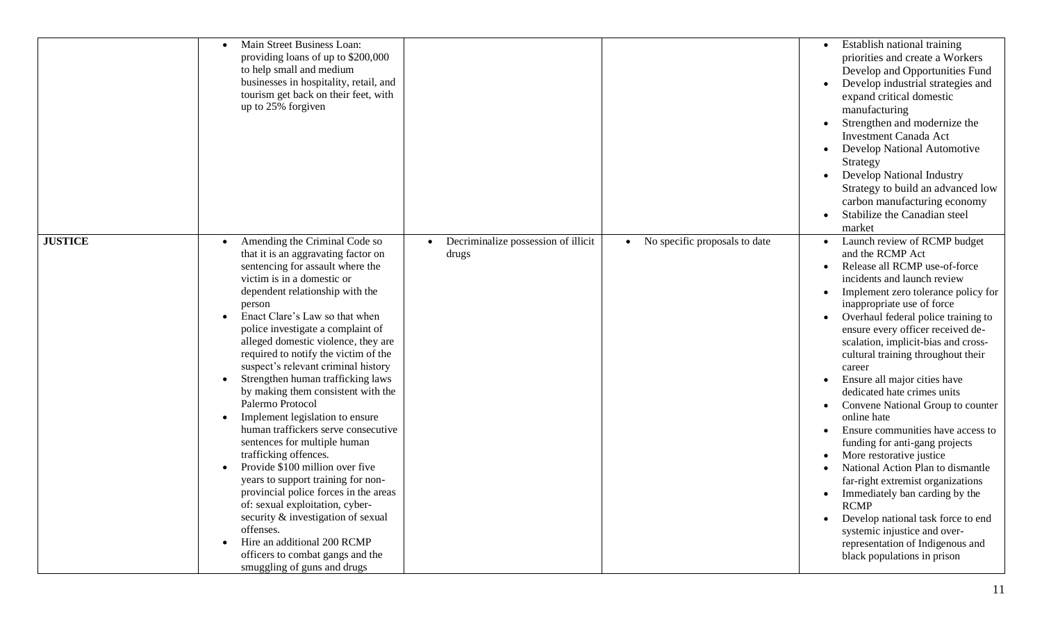|                | Main Street Business Loan:<br>providing loans of up to \$200,000<br>to help small and medium<br>businesses in hospitality, retail, and<br>tourism get back on their feet, with<br>up to 25% forgiven                                                                                                                                                                                                                                                                                                                                                                                                                                                                                                                                                                                                                                                                                                                                      |                                              |                               | Establish national training<br>priorities and create a Workers<br>Develop and Opportunities Fund<br>Develop industrial strategies and<br>expand critical domestic<br>manufacturing<br>Strengthen and modernize the<br><b>Investment Canada Act</b><br>Develop National Automotive<br>Strategy<br><b>Develop National Industry</b><br>Strategy to build an advanced low<br>carbon manufacturing economy<br>Stabilize the Canadian steel<br>market                                                                                                                                                                                                                                                                                                                                                                                                   |
|----------------|-------------------------------------------------------------------------------------------------------------------------------------------------------------------------------------------------------------------------------------------------------------------------------------------------------------------------------------------------------------------------------------------------------------------------------------------------------------------------------------------------------------------------------------------------------------------------------------------------------------------------------------------------------------------------------------------------------------------------------------------------------------------------------------------------------------------------------------------------------------------------------------------------------------------------------------------|----------------------------------------------|-------------------------------|----------------------------------------------------------------------------------------------------------------------------------------------------------------------------------------------------------------------------------------------------------------------------------------------------------------------------------------------------------------------------------------------------------------------------------------------------------------------------------------------------------------------------------------------------------------------------------------------------------------------------------------------------------------------------------------------------------------------------------------------------------------------------------------------------------------------------------------------------|
| <b>JUSTICE</b> | Amending the Criminal Code so<br>that it is an aggravating factor on<br>sentencing for assault where the<br>victim is in a domestic or<br>dependent relationship with the<br>person<br>Enact Clare's Law so that when<br>police investigate a complaint of<br>alleged domestic violence, they are<br>required to notify the victim of the<br>suspect's relevant criminal history<br>Strengthen human trafficking laws<br>by making them consistent with the<br>Palermo Protocol<br>Implement legislation to ensure<br>$\bullet$<br>human traffickers serve consecutive<br>sentences for multiple human<br>trafficking offences.<br>Provide \$100 million over five<br>years to support training for non-<br>provincial police forces in the areas<br>of: sexual exploitation, cyber-<br>security & investigation of sexual<br>offenses.<br>Hire an additional 200 RCMP<br>officers to combat gangs and the<br>smuggling of guns and drugs | Decriminalize possession of illicit<br>drugs | No specific proposals to date | Launch review of RCMP budget<br>and the RCMP Act<br>Release all RCMP use-of-force<br>incidents and launch review<br>Implement zero tolerance policy for<br>inappropriate use of force<br>Overhaul federal police training to<br>ensure every officer received de-<br>scalation, implicit-bias and cross-<br>cultural training throughout their<br>career<br>Ensure all major cities have<br>dedicated hate crimes units<br>Convene National Group to counter<br>online hate<br>Ensure communities have access to<br>funding for anti-gang projects<br>More restorative justice<br>National Action Plan to dismantle<br>far-right extremist organizations<br>Immediately ban carding by the<br><b>RCMP</b><br>Develop national task force to end<br>systemic injustice and over-<br>representation of Indigenous and<br>black populations in prison |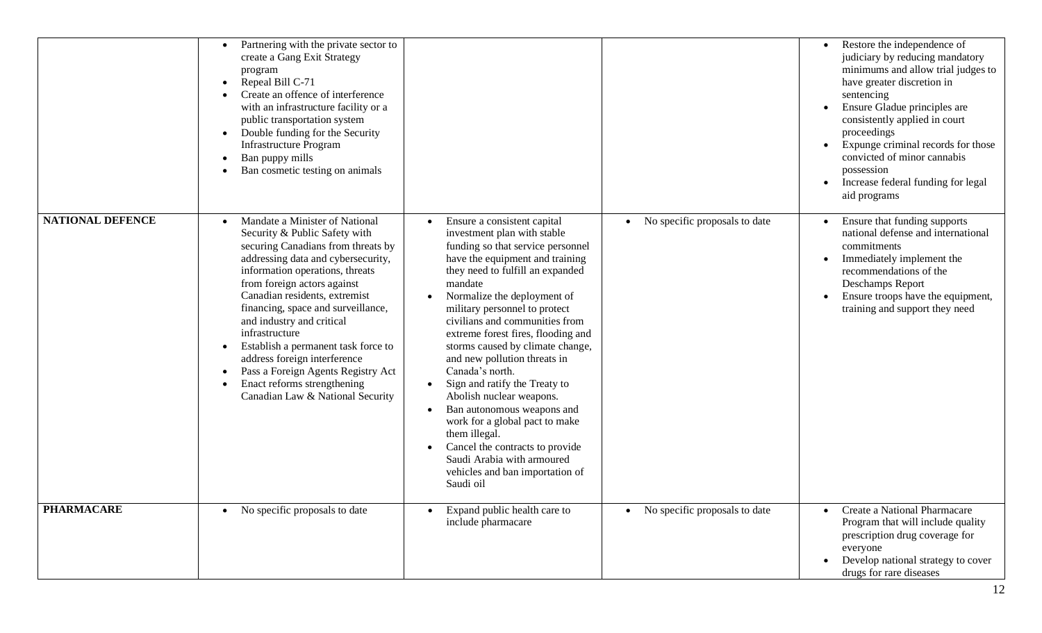|                         | Partnering with the private sector to<br>create a Gang Exit Strategy<br>program<br>Repeal Bill C-71<br>Create an offence of interference<br>with an infrastructure facility or a<br>public transportation system<br>Double funding for the Security<br>$\bullet$<br>Infrastructure Program<br>Ban puppy mills<br>Ban cosmetic testing on animals                                                                                                                                                                    |                                                                                                                                                                                                                                                                                                                                                                                                                                                                                                                                                                                                                                                                                                                                     |                               | Restore the independence of<br>judiciary by reducing mandatory<br>minimums and allow trial judges to<br>have greater discretion in<br>sentencing<br>Ensure Gladue principles are<br>consistently applied in court<br>proceedings<br>Expunge criminal records for those<br>convicted of minor cannabis<br>possession<br>Increase federal funding for legal<br>aid programs |
|-------------------------|---------------------------------------------------------------------------------------------------------------------------------------------------------------------------------------------------------------------------------------------------------------------------------------------------------------------------------------------------------------------------------------------------------------------------------------------------------------------------------------------------------------------|-------------------------------------------------------------------------------------------------------------------------------------------------------------------------------------------------------------------------------------------------------------------------------------------------------------------------------------------------------------------------------------------------------------------------------------------------------------------------------------------------------------------------------------------------------------------------------------------------------------------------------------------------------------------------------------------------------------------------------------|-------------------------------|---------------------------------------------------------------------------------------------------------------------------------------------------------------------------------------------------------------------------------------------------------------------------------------------------------------------------------------------------------------------------|
| <b>NATIONAL DEFENCE</b> | Mandate a Minister of National<br>Security & Public Safety with<br>securing Canadians from threats by<br>addressing data and cybersecurity,<br>information operations, threats<br>from foreign actors against<br>Canadian residents, extremist<br>financing, space and surveillance,<br>and industry and critical<br>infrastructure<br>Establish a permanent task force to<br>address foreign interference<br>Pass a Foreign Agents Registry Act<br>Enact reforms strengthening<br>Canadian Law & National Security | Ensure a consistent capital<br>$\bullet$<br>investment plan with stable<br>funding so that service personnel<br>have the equipment and training<br>they need to fulfill an expanded<br>mandate<br>Normalize the deployment of<br>military personnel to protect<br>civilians and communities from<br>extreme forest fires, flooding and<br>storms caused by climate change,<br>and new pollution threats in<br>Canada's north.<br>Sign and ratify the Treaty to<br>$\bullet$<br>Abolish nuclear weapons.<br>Ban autonomous weapons and<br>$\bullet$<br>work for a global pact to make<br>them illegal.<br>Cancel the contracts to provide<br>$\bullet$<br>Saudi Arabia with armoured<br>vehicles and ban importation of<br>Saudi oil | No specific proposals to date | Ensure that funding supports<br>national defense and international<br>commitments<br>Immediately implement the<br>recommendations of the<br>Deschamps Report<br>Ensure troops have the equipment,<br>training and support they need                                                                                                                                       |
| <b>PHARMACARE</b>       | • No specific proposals to date                                                                                                                                                                                                                                                                                                                                                                                                                                                                                     | Expand public health care to<br>$\bullet$<br>include pharmacare                                                                                                                                                                                                                                                                                                                                                                                                                                                                                                                                                                                                                                                                     | No specific proposals to date | Create a National Pharmacare<br>Program that will include quality<br>prescription drug coverage for<br>everyone<br>Develop national strategy to cover<br>drugs for rare diseases                                                                                                                                                                                          |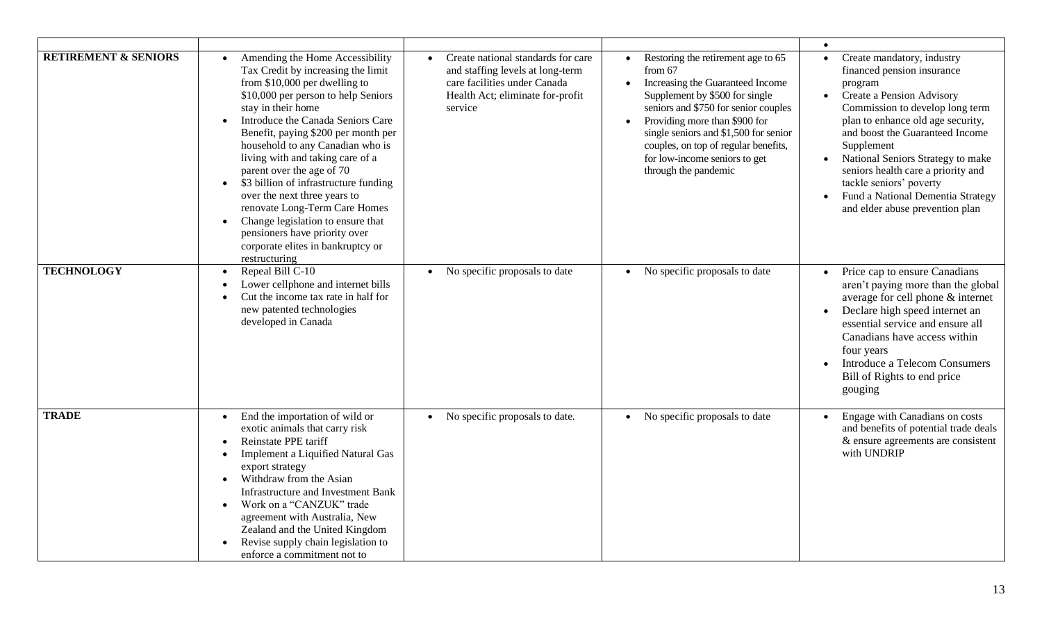| <b>RETIREMENT &amp; SENIORS</b> | Amending the Home Accessibility<br>Tax Credit by increasing the limit<br>from $$10,000$ per dwelling to<br>\$10,000 per person to help Seniors<br>stay in their home<br>Introduce the Canada Seniors Care<br>$\bullet$<br>Benefit, paying \$200 per month per<br>household to any Canadian who is<br>living with and taking care of a<br>parent over the age of 70<br>\$3 billion of infrastructure funding<br>$\bullet$<br>over the next three years to<br>renovate Long-Term Care Homes<br>Change legislation to ensure that<br>$\bullet$<br>pensioners have priority over<br>corporate elites in bankruptcy or<br>restructuring | Create national standards for care<br>$\bullet$<br>and staffing levels at long-term<br>care facilities under Canada<br>Health Act; eliminate for-profit<br>service | Restoring the retirement age to 65<br>from $67$<br>Increasing the Guaranteed Income<br>Supplement by \$500 for single<br>seniors and \$750 for senior couples<br>Providing more than \$900 for<br>single seniors and \$1,500 for senior<br>couples, on top of regular benefits,<br>for low-income seniors to get<br>through the pandemic | Create mandatory, industry<br>financed pension insurance<br>program<br>• Create a Pension Advisory<br>Commission to develop long term<br>plan to enhance old age security,<br>and boost the Guaranteed Income<br>Supplement<br>National Seniors Strategy to make<br>seniors health care a priority and<br>tackle seniors' poverty<br>Fund a National Dementia Strategy<br>and elder abuse prevention plan |
|---------------------------------|------------------------------------------------------------------------------------------------------------------------------------------------------------------------------------------------------------------------------------------------------------------------------------------------------------------------------------------------------------------------------------------------------------------------------------------------------------------------------------------------------------------------------------------------------------------------------------------------------------------------------------|--------------------------------------------------------------------------------------------------------------------------------------------------------------------|------------------------------------------------------------------------------------------------------------------------------------------------------------------------------------------------------------------------------------------------------------------------------------------------------------------------------------------|-----------------------------------------------------------------------------------------------------------------------------------------------------------------------------------------------------------------------------------------------------------------------------------------------------------------------------------------------------------------------------------------------------------|
| <b>TECHNOLOGY</b>               | Repeal Bill C-10<br>$\bullet$<br>Lower cellphone and internet bills<br>$\bullet$<br>Cut the income tax rate in half for<br>$\bullet$<br>new patented technologies<br>developed in Canada                                                                                                                                                                                                                                                                                                                                                                                                                                           | No specific proposals to date<br>$\bullet$                                                                                                                         | No specific proposals to date<br>$\bullet$                                                                                                                                                                                                                                                                                               | Price cap to ensure Canadians<br>aren't paying more than the global<br>average for cell phone & internet<br>Declare high speed internet an<br>essential service and ensure all<br>Canadians have access within<br>four years<br><b>Introduce a Telecom Consumers</b><br>Bill of Rights to end price<br>gouging                                                                                            |
| <b>TRADE</b>                    | End the importation of wild or<br>$\bullet$<br>exotic animals that carry risk<br>Reinstate PPE tariff<br>$\bullet$<br><b>Implement a Liquified Natural Gas</b><br>$\bullet$<br>export strategy<br>Withdraw from the Asian<br>$\bullet$<br><b>Infrastructure and Investment Bank</b><br>Work on a "CANZUK" trade<br>$\bullet$<br>agreement with Australia, New<br>Zealand and the United Kingdom<br>Revise supply chain legislation to<br>enforce a commitment not to                                                                                                                                                               | No specific proposals to date.<br>$\bullet$                                                                                                                        | $\overline{No}$ specific proposals to date                                                                                                                                                                                                                                                                                               | Engage with Canadians on costs<br>and benefits of potential trade deals<br>& ensure agreements are consistent<br>with UNDRIP                                                                                                                                                                                                                                                                              |